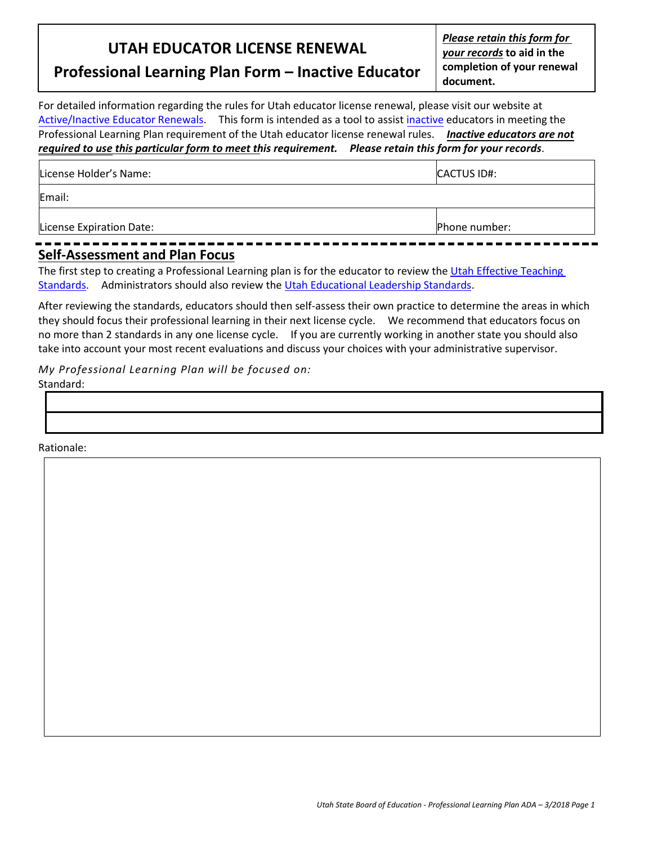## **UTAH EDUCATOR LICENSE RENEWAL**

*Please retain this form for your records* **to aid in the completion of your renewal document.**

## **Professional Learning Plan Form – Inactive Educator**

For detailed information regarding the rules for Utah educator license renewal, please visit our website at [Active/Inactive](https://schools.utah.gov/curr/licensing/renewupgrade) Educator Renewals. This form is intended as a tool to assist [inactive](https://schools.utah.gov/curr/licensing/renewupgrade) educators in meeting the Professional Learning Plan requirement of the Utah educator license renewal rules. *Inactive educators are not required to use this particular form to meet this requirement. Please retain this form for your records*.

| License Holder's Name:                                  | <b>CACTUS ID#:</b> |
|---------------------------------------------------------|--------------------|
| Email:                                                  |                    |
| License Expiration Date:<br>------------------<br>- - - | Phone number:      |

## **Self-Assessment and Plan Focus**

The first step to creating a Professional Learning plan is for the educator to review th[e Utah Effective Teaching](https://schools.utah.gov/curr/educatoreffectiveness)  [Standards.](https://schools.utah.gov/curr/educatoreffectiveness) Administrators should also review the [Utah Educational Leadership Standards.](https://schools.utah.gov/curr/educatoreffectiveness)

After reviewing the standards, educators should then self-assess their own practice to determine the areas in which they should focus their professional learning in their next license cycle. We recommend that educators focus on no more than 2 standards in any one license cycle. If you are currently working in another state you should also take into account your most recent evaluations and discuss your choices with your administrative supervisor.

*My Professional Learning Plan will be focused on:* Standard:

Rationale: